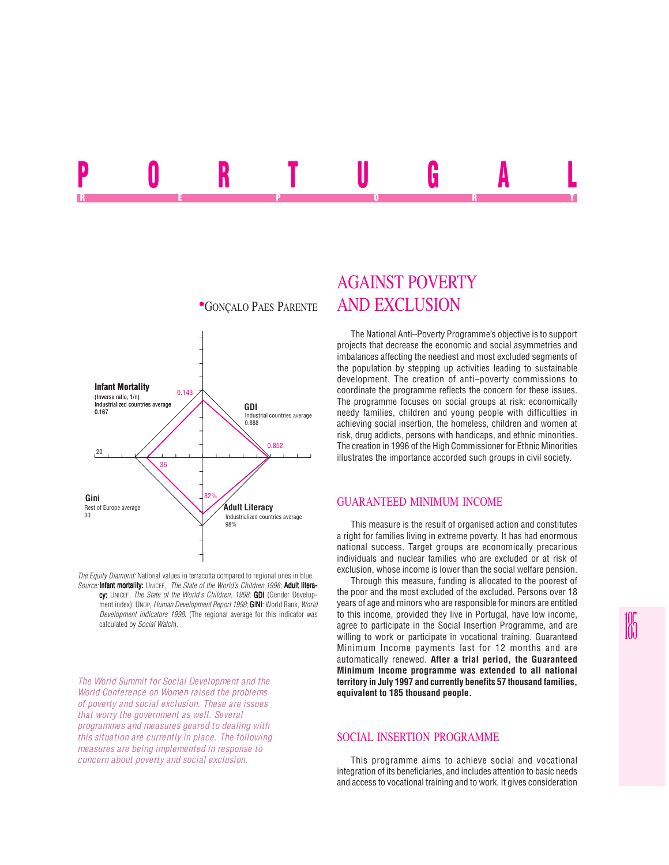## <u>run Iuan A</u> REPORT OF STATE REPORT OF STATE REPORT OF STATE REPORT OF STATE REPORT OF STATE REPORT OF STATE REPORT OF STATE REPORT OF STATE REPORT OF STATE REPORT OF STATE REPORT OF STATE REPORT OF STATE REPORT OF STATE REPORT OF STAT



*The Equity Diamond:* National values in terracotta compared to regional ones in blue. *Source:* Infant mortality: UNICEF, *The State of the World's Children,1998*; Adult literacy: UNICEF, *The State of the World's Children, 1998*; **GDI** (Gender Development index): UNDP, *Human Development Report 1998*; **GINI**: World Bank, World *Development indicators 1998*. (The regional average for this indicator was calculated by *Social Watch*).

*The World Summit for Social Development and the World Conference on Women raised the problems of poverty and social exclusion. These are issues that worry the government as well. Several programmes and measures geared to dealing with this situation are currently in place. The following measures are being implemented in response to concern about poverty and social exclusion.*

## AGAINST POVERTY **\*GONÇALO PAES PARENTE AND EXCLUSION**

The National Anti–Poverty Programme's objective is to support projects that decrease the economic and social asymmetries and imbalances affecting the neediest and most excluded segments of the population by stepping up activities leading to sustainable development. The creation of anti–poverty commissions to coordinate the programme reflects the concern for these issues. The programme focuses on social groups at risk: economically needy families, children and young people with difficulties in achieving social insertion, the homeless, children and women at risk, drug addicts, persons with handicaps, and ethnic minorities. The creation in 1996 of the High Commissioner for Ethnic Minorities illustrates the importance accorded such groups in civil society.

## GUARANTEED MINIMUM INCOME

This measure is the result of organised action and constitutes a right for families living in extreme poverty. It has had enormous national success. Target groups are economically precarious individuals and nuclear families who are excluded or at risk of exclusion, whose income is lower than the social welfare pension.

Through this measure, funding is allocated to the poorest of the poor and the most excluded of the excluded. Persons over 18 years of age and minors who are responsible for minors are entitled to this income, provided they live in Portugal, have low income, agree to participate in the Social Insertion Programme, and are willing to work or participate in vocational training. Guaranteed Minimum Income payments last for 12 months and are automatically renewed. **After a trial period, the Guaranteed Minimum Income programme was extended to all national territory in July 1997 and currently benefits 57 thousand families, equivalent to 185 thousand people.**

## SOCIAL INSERTION PROGRAMME

This programme aims to achieve social and vocational integration of its beneficiaries, and includes attention to basic needs and access to vocational training and to work. It gives consideration